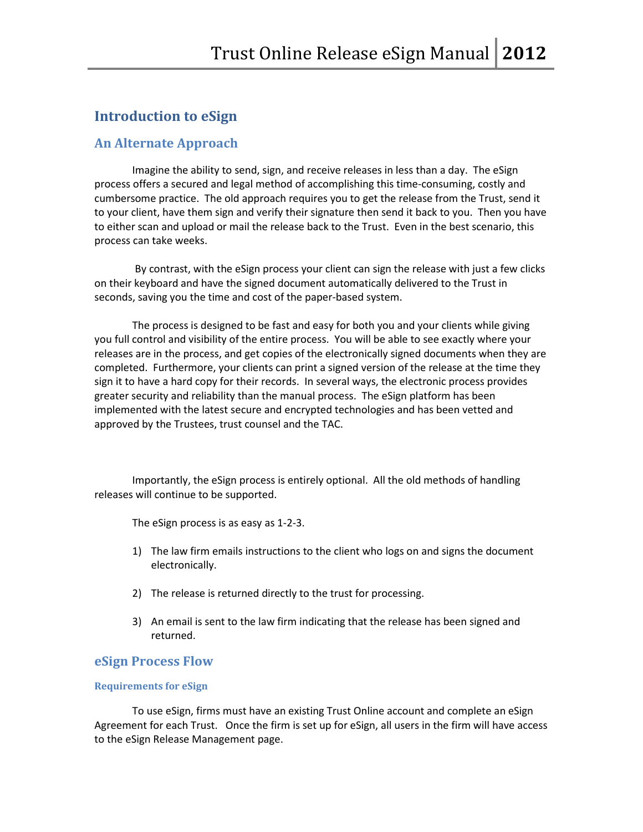# **Introduction to eSign**

#### **An Alternate Approach**

Imagine the ability to send, sign, and receive releases in less than a day. The eSign process offers a secured and legal method of accomplishing this time-consuming, costly and cumbersome practice. The old approach requires you to get the release from the Trust, send it to your client, have them sign and verify their signature then send it back to you. Then you have to either scan and upload or mail the release back to the Trust. Even in the best scenario, this process can take weeks.

By contrast, with the eSign process your client can sign the release with just a few clicks on their keyboard and have the signed document automatically delivered to the Trust in seconds, saving you the time and cost of the paper-based system.

The process is designed to be fast and easy for both you and your clients while giving you full control and visibility of the entire process. You will be able to see exactly where your releases are in the process, and get copies of the electronically signed documents when they are completed. Furthermore, your clients can print a signed version of the release at the time they sign it to have a hard copy for their records. In several ways, the electronic process provides greater security and reliability than the manual process. The eSign platform has been implemented with the latest secure and encrypted technologies and has been vetted and approved by the Trustees, trust counsel and the TAC.

Importantly, the eSign process is entirely optional. All the old methods of handling releases will continue to be supported.

The eSign process is as easy as 1-2-3.

- 1) The law firm emails instructions to the client who logs on and signs the document electronically.
- 2) The release is returned directly to the trust for processing.
- 3) An email is sent to the law firm indicating that the release has been signed and returned.

#### **eSign Process Flow**

#### **Requirements for eSign**

To use eSign, firms must have an existing Trust Online account and complete an eSign Agreement for each Trust. Once the firm is set up for eSign, all users in the firm will have access to the eSign Release Management page.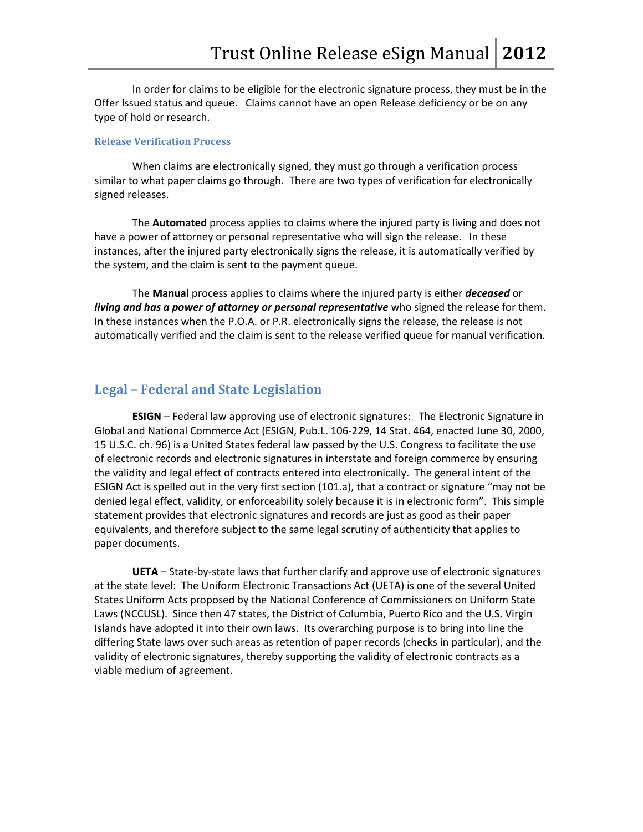In order for claims to be eligible for the electronic signature process, they must be in the Offer Issued status and queue. Claims cannot have an open Release deficiency or be on any type of hold or research.

#### **Release Verification Process**

When claims are electronically signed, they must go through a verification process similar to what paper claims go through. There are two types of verification for electronically signed releases.

The **Automated** process applies to claims where the injured party is living and does not have a power of attorney or personal representative who will sign the release. In these instances, after the injured party electronically signs the release, it is automatically verified by the system, and the claim is sent to the payment queue.

The **Manual** process applies to claims where the injured party is either *deceased* or *living and has a power of attorney or personal representative* who signed the release for them. In these instances when the P.O.A. or P.R. electronically signs the release, the release is not automatically verified and the claim is sent to the release verified queue for manual verification.

#### **Legal – Federal and State Legislation**

**ESIGN** – Federal law approving use of electronic signatures: The Electronic Signature in Global and National Commerce Act (ESIGN, Pub.L. 106-229, 14 Stat. 464, enacted June 30, 2000, 15 U.S.C. ch. 96) is a United States federal law passed by the U.S. Congress to facilitate the use of electronic records and electronic signatures in interstate and foreign commerce by ensuring the validity and legal effect of contracts entered into electronically. The general intent of the ESIGN Act is spelled out in the very first section (101.a), that a contract or signature "may not be denied legal effect, validity, or enforceability solely because it is in electronic form". This simple statement provides that electronic signatures and records are just as good as their paper equivalents, and therefore subject to the same legal scrutiny of authenticity that applies to paper documents.

**UETA** – State-by-state laws that further clarify and approve use of electronic signatures at the state level: The Uniform Electronic Transactions Act (UETA) is one of the several United States Uniform Acts proposed by the National Conference of Commissioners on Uniform State Laws (NCCUSL). Since then 47 states, the District of Columbia, Puerto Rico and the U.S. Virgin Islands have adopted it into their own laws. Its overarching purpose is to bring into line the differing State laws over such areas as retention of paper records (checks in particular), and the validity of electronic signatures, thereby supporting the validity of electronic contracts as a viable medium of agreement.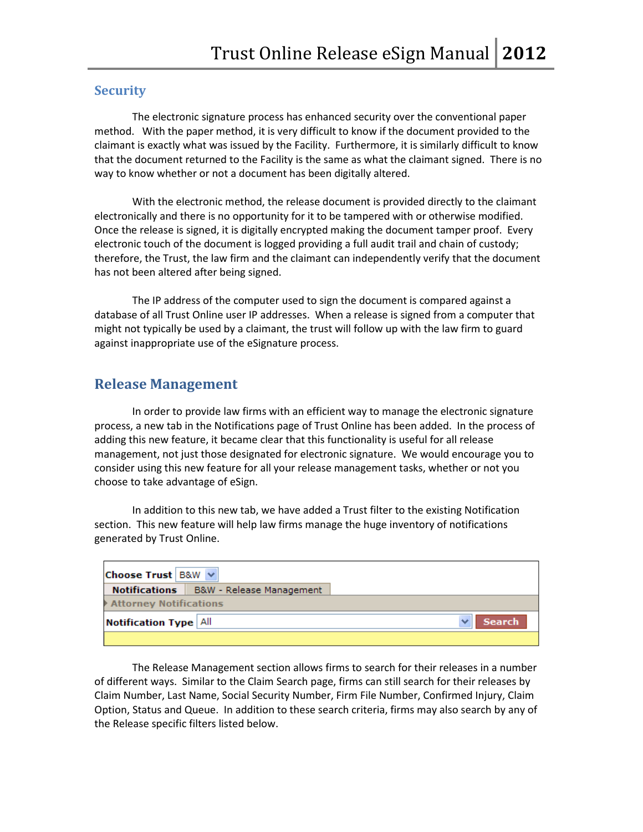#### **Security**

The electronic signature process has enhanced security over the conventional paper method. With the paper method, it is very difficult to know if the document provided to the claimant is exactly what was issued by the Facility. Furthermore, it is similarly difficult to know that the document returned to the Facility is the same as what the claimant signed. There is no way to know whether or not a document has been digitally altered.

With the electronic method, the release document is provided directly to the claimant electronically and there is no opportunity for it to be tampered with or otherwise modified. Once the release is signed, it is digitally encrypted making the document tamper proof. Every electronic touch of the document is logged providing a full audit trail and chain of custody; therefore, the Trust, the law firm and the claimant can independently verify that the document has not been altered after being signed.

The IP address of the computer used to sign the document is compared against a database of all Trust Online user IP addresses. When a release is signed from a computer that might not typically be used by a claimant, the trust will follow up with the law firm to guard against inappropriate use of the eSignature process.

#### **Release Management**

In order to provide law firms with an efficient way to manage the electronic signature process, a new tab in the Notifications page of Trust Online has been added. In the process of adding this new feature, it became clear that this functionality is useful for all release management, not just those designated for electronic signature. We would encourage you to consider using this new feature for all your release management tasks, whether or not you choose to take advantage of eSign.

In addition to this new tab, we have added a Trust filter to the existing Notification section. This new feature will help law firms manage the huge inventory of notifications generated by Trust Online.

| Choose Trust   B&W $\vee$     |                                                 |  |               |  |  |  |  |  |  |  |
|-------------------------------|-------------------------------------------------|--|---------------|--|--|--|--|--|--|--|
|                               | <b>Notifications</b>   B&W - Release Management |  |               |  |  |  |  |  |  |  |
| <b>Attorney Notifications</b> |                                                 |  |               |  |  |  |  |  |  |  |
| <b>Notification Type All</b>  |                                                 |  | <b>Search</b> |  |  |  |  |  |  |  |
|                               |                                                 |  |               |  |  |  |  |  |  |  |

The Release Management section allows firms to search for their releases in a number of different ways. Similar to the Claim Search page, firms can still search for their releases by Claim Number, Last Name, Social Security Number, Firm File Number, Confirmed Injury, Claim Option, Status and Queue. In addition to these search criteria, firms may also search by any of the Release specific filters listed below.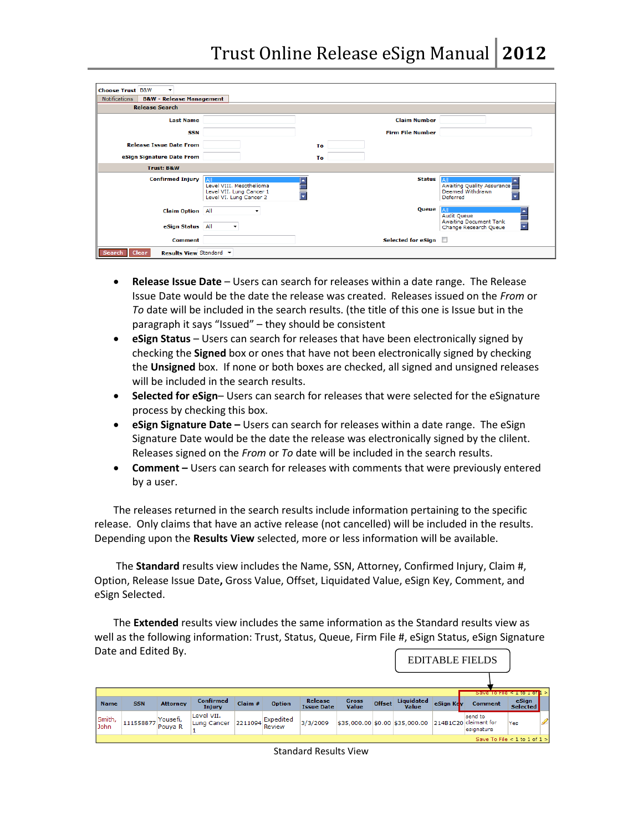| <b>Choose Trust B&amp;W</b>                                     |                                                                                      |    |                         |                                                                                                                      |
|-----------------------------------------------------------------|--------------------------------------------------------------------------------------|----|-------------------------|----------------------------------------------------------------------------------------------------------------------|
| <b>Notifications</b><br><b>B&amp;W - Release Management</b>     |                                                                                      |    |                         |                                                                                                                      |
| <b>Release Search</b>                                           |                                                                                      |    |                         |                                                                                                                      |
| <b>Last Name</b>                                                |                                                                                      |    | <b>Claim Number</b>     |                                                                                                                      |
| <b>SSN</b>                                                      |                                                                                      |    | <b>Firm File Number</b> |                                                                                                                      |
| <b>Release Issue Date From</b>                                  |                                                                                      | To |                         |                                                                                                                      |
| eSign Signature Date From                                       |                                                                                      | To |                         |                                                                                                                      |
| <b>Trust: B&amp;W</b>                                           |                                                                                      |    |                         |                                                                                                                      |
| <b>Confirmed Injury</b>                                         | A<br>Level VIII. Mesothelioma<br>Level VII. Lung Cancer 1<br>Level VI. Lung Cancer 2 |    | <b>Status</b>           | All<br><b>Awaiting Quality Assurance</b><br>Deemed Withdrawn<br>Deferred                                             |
| <b>Claim Option</b> All<br>eSign Status All                     | ▼<br>$\blacktriangledown$                                                            |    | Queue                   | All<br>A<br><b>Audit Queue</b><br><b>Awaiting Document Tank</b><br>$\overline{\phantom{1}}$<br>Change Research Queue |
| <b>Comment</b>                                                  |                                                                                      |    | Selected for eSign      |                                                                                                                      |
| <b>Clear</b><br><b>Results View Standard ▼</b><br><b>Search</b> |                                                                                      |    |                         |                                                                                                                      |

- **Release Issue Date** Users can search for releases within a date range. The Release Issue Date would be the date the release was created. Releases issued on the *From* or *To* date will be included in the search results. (the title of this one is Issue but in the paragraph it says "Issued" – they should be consistent
- **eSign Status** Users can search for releases that have been electronically signed by checking the **Signed** box or ones that have not been electronically signed by checking the **Unsigned** box. If none or both boxes are checked, all signed and unsigned releases will be included in the search results.
- **Selected for eSign** Users can search for releases that were selected for the eSignature process by checking this box.
- **e eSign Signature Date –** Users can search for releases within a date range. The eSign Signature Date would be the date the release was electronically signed by the clilent. Releases signed on the *From* or *To* date will be included in the search results.
- **Comment –** Users can search for releases with comments that were previously entered by a user.

The releases returned in the search results include information pertaining to the specific release. Only claims that have an active release (not cancelled) will be included in the results. Depending upon the **Results View** selected, more or less information will be available.

The **Standard** results view includes the Name, SSN, Attorney, Confirmed Injury, Claim #, Option, Release Issue Date**,** Gross Value, Offset, Liquidated Value, eSign Key, Comment, and eSign Selected.

The **Extended** results view includes the same information as the Standard results view as well as the following information: Trust, Status, Queue, Firm File #, eSign Status, eSign Signature Date and Edited By.

| <b>EDITABLE FIELDS</b> |                                |                                |                            |         |                     |                              |                              |               |                                                      |           |                        |                                   |  |
|------------------------|--------------------------------|--------------------------------|----------------------------|---------|---------------------|------------------------------|------------------------------|---------------|------------------------------------------------------|-----------|------------------------|-----------------------------------|--|
|                        |                                |                                |                            |         |                     |                              |                              |               |                                                      |           |                        | Save to rue < $1$ to $1$ or $1 >$ |  |
| <b>Name</b>            | <b>SSN</b>                     | <b>Attorney</b>                | <b>Confirmed</b><br>Injury | Claim # | <b>Option</b>       | Release<br><b>Issue Date</b> | <b>Gross</b><br><b>Value</b> | <b>Offset</b> | Liquidated<br><b>Value</b>                           | eSign Key | <b>Comment</b>         | eSign<br><b>Selected</b>          |  |
| Smith,<br>John         | 111558877                      | Yousefi,<br>Pouva <sub>R</sub> | Level VII.<br>Lung Cancer  | 2211094 | Expedited<br>Review | 3/3/2009                     |                              |               | \$35,000.00 \$0.00 \$35,000.00 214B1C20 claimant for |           | send to<br>lesignature | Yes                               |  |
|                        | Save To File < 1 to 1 of $1 >$ |                                |                            |         |                     |                              |                              |               |                                                      |           |                        |                                   |  |

| Standard Results View |  |  |
|-----------------------|--|--|
|-----------------------|--|--|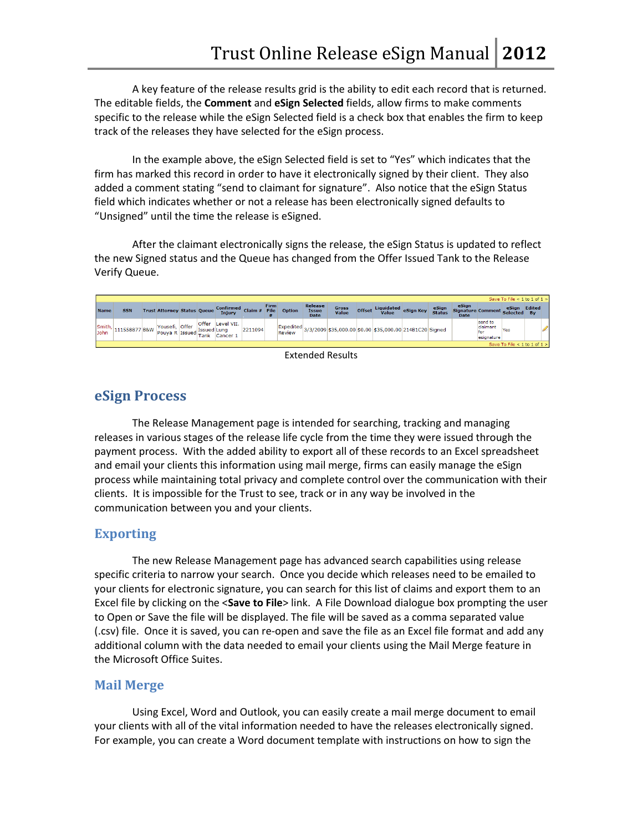A key feature of the release results grid is the ability to edit each record that is returned. The editable fields, the **Comment** and **eSign Selected** fields, allow firms to make comments specific to the release while the eSign Selected field is a check box that enables the firm to keep track of the releases they have selected for the eSign process.

In the example above, the eSign Selected field is set to "Yes" which indicates that the firm has marked this record in order to have it electronically signed by their client. They also added a comment stating "send to claimant for signature". Also notice that the eSign Status field which indicates whether or not a release has been electronically signed defaults to "Unsigned" until the time the release is eSigned.

After the claimant electronically signs the release, the eSign Status is updated to reflect the new Signed status and the Queue has changed from the Offer Issued Tank to the Release Verify Queue.

|                              |               |  |                                       |  |                      |                            |           |                     |                            |                                 |                              |               |                                                         |           |                        |                                                    |                                          | Save To File < 1 to 1 of 1 > |                     |  |
|------------------------------|---------------|--|---------------------------------------|--|----------------------|----------------------------|-----------|---------------------|----------------------------|---------------------------------|------------------------------|---------------|---------------------------------------------------------|-----------|------------------------|----------------------------------------------------|------------------------------------------|------------------------------|---------------------|--|
| <b>Name</b>                  | <b>SSN</b>    |  | <b>Trust Attorney Status Oueue</b>    |  |                      | <b>Confirmed</b><br>Injury | Claim $#$ | Firm<br><b>File</b> | <b>Option</b>              | Release<br>Issue<br><b>Date</b> | <b>Gross</b><br><b>Value</b> | <b>Offset</b> | Liquidated<br><b>Value</b>                              | eSign Key | eSign<br><b>Status</b> | eSign<br>Signature Comment Selected<br><b>Date</b> |                                          | eSign                        | Edited<br><b>Bv</b> |  |
| Smith.<br>John               | 111558877 B&W |  | Yousefi, Offer<br>Pouya R Issued Tank |  | Offer<br>Issued Lung | Level VII.<br>Cancer 1     | 2211094   |                     | Expedited<br><b>Review</b> |                                 |                              |               | 3/3/2009 \$35,000.00 \$0.00 \$35,000.00 214B1C20 Signed |           |                        |                                                    | send to<br>claimant<br>for<br>esignature | Yes                          |                     |  |
| Save To File < 1 to 1 of 1 > |               |  |                                       |  |                      |                            |           |                     |                            |                                 |                              |               |                                                         |           |                        |                                                    |                                          |                              |                     |  |
|                              |               |  |                                       |  |                      |                            |           |                     |                            | - - - -                         | .                            |               |                                                         |           |                        |                                                    |                                          |                              |                     |  |

Extended Results

# **eSign Process**

The Release Management page is intended for searching, tracking and managing releases in various stages of the release life cycle from the time they were issued through the payment process. With the added ability to export all of these records to an Excel spreadsheet and email your clients this information using mail merge, firms can easily manage the eSign process while maintaining total privacy and complete control over the communication with their clients. It is impossible for the Trust to see, track or in any way be involved in the communication between you and your clients.

## **Exporting**

The new Release Management page has advanced search capabilities using release specific criteria to narrow your search. Once you decide which releases need to be emailed to your clients for electronic signature, you can search for this list of claims and export them to an Excel file by clicking on the <**Save to File**> link. A File Download dialogue box prompting the user to Open or Save the file will be displayed. The file will be saved as a comma separated value (.csv) file. Once it is saved, you can re-open and save the file as an Excel file format and add any additional column with the data needed to email your clients using the Mail Merge feature in the Microsoft Office Suites.

### **Mail Merge**

Using Excel, Word and Outlook, you can easily create a mail merge document to email your clients with all of the vital information needed to have the releases electronically signed. For example, you can create a Word document template with instructions on how to sign the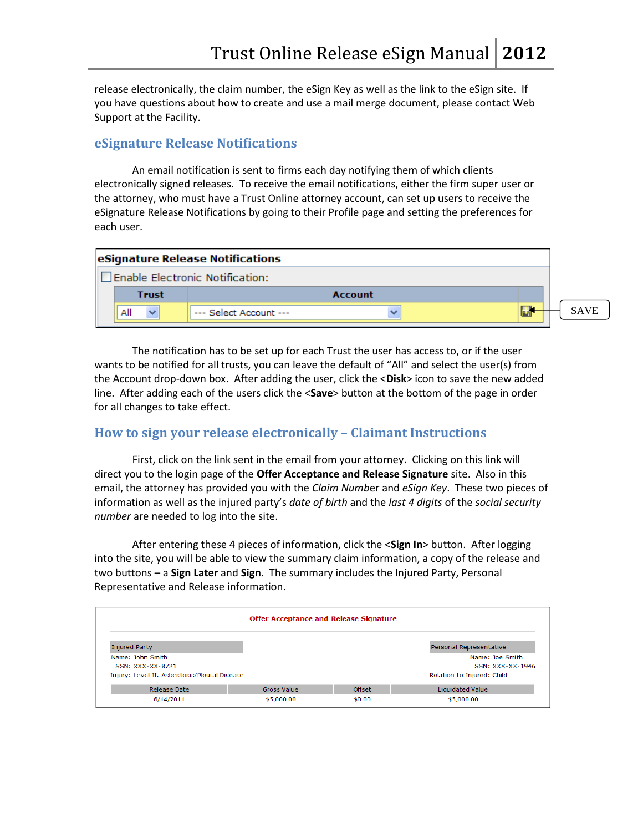release electronically, the claim number, the eSign Key as well as the link to the eSign site. If you have questions about how to create and use a mail merge document, please contact Web Support at the Facility.

## **eSignature Release Notifications**

An email notification is sent to firms each day notifying them of which clients electronically signed releases. To receive the email notifications, either the firm super user or the attorney, who must have a Trust Online attorney account, can set up users to receive the eSignature Release Notifications by going to their Profile page and setting the preferences for each user.

|              | eSignature Release Notifications |             |
|--------------|----------------------------------|-------------|
|              | Enable Electronic Notification:  |             |
| <b>Trust</b> | Account                          |             |
| All          | --- Select Account ---           | <b>SAVE</b> |
|              |                                  |             |

The notification has to be set up for each Trust the user has access to, or if the user wants to be notified for all trusts, you can leave the default of "All" and select the user(s) from the Account drop-down box. After adding the user, click the <**Disk**> icon to save the new added line. After adding each of the users click the <**Save**> button at the bottom of the page in order for all changes to take effect.

### **How to sign your release electronically – Claimant Instructions**

First, click on the link sent in the email from your attorney. Clicking on this link will direct you to the login page of the **Offer Acceptance and Release Signature** site. Also in this email, the attorney has provided you with the *Claim Numb*er and *eSign Key*. These two pieces of information as well as the injured party's *date of birth* and the *last 4 digits* of the *social security number* are needed to log into the site.

After entering these 4 pieces of information, click the <**Sign In**> button. After logging into the site, you will be able to view the summary claim information, a copy of the release and two buttons – a **Sign Later** and **Sign**. The summary includes the Injured Party, Personal Representative and Release information.